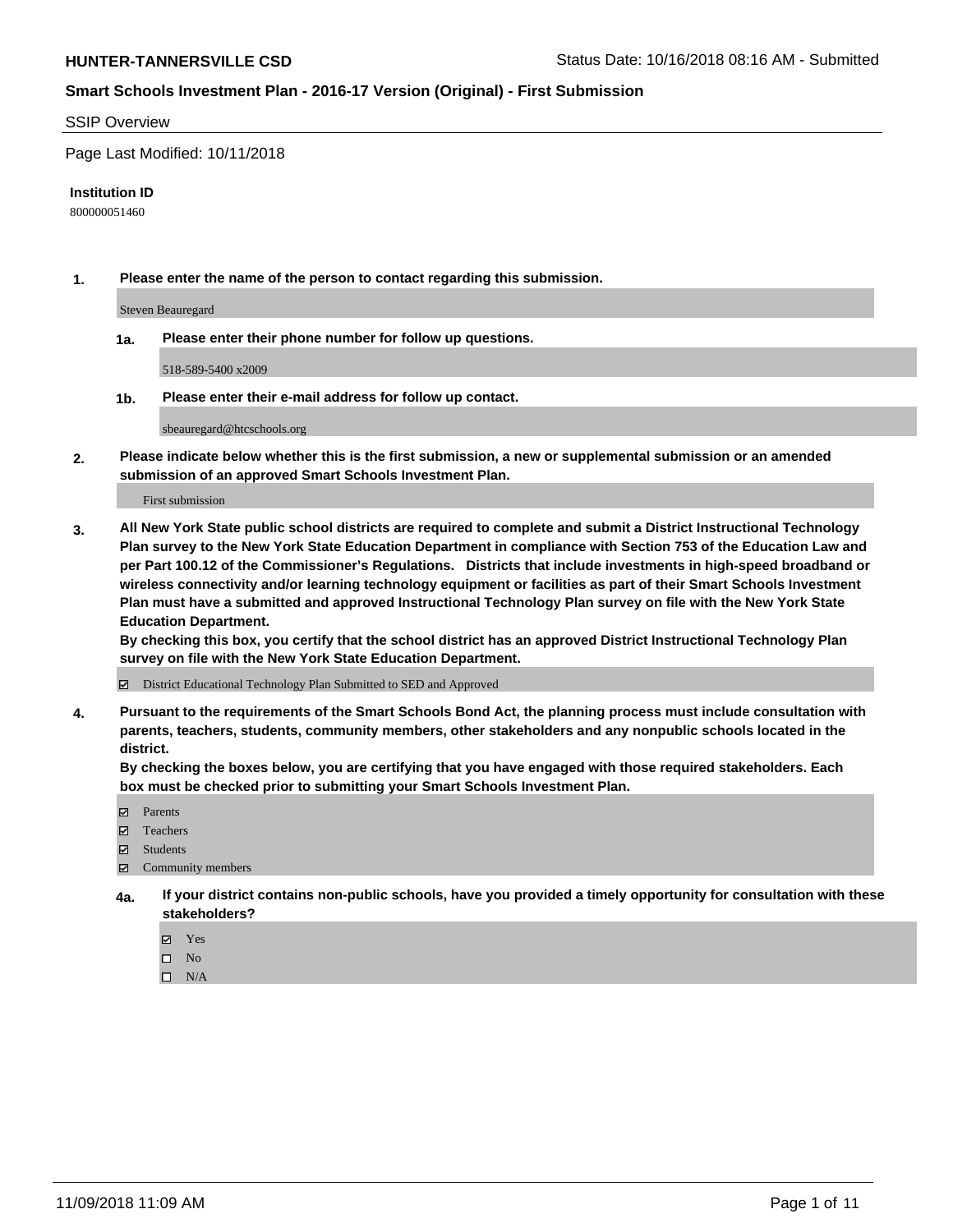#### SSIP Overview

Page Last Modified: 10/11/2018

#### **Institution ID**

800000051460

**1. Please enter the name of the person to contact regarding this submission.**

Steven Beauregard

**1a. Please enter their phone number for follow up questions.**

518-589-5400 x2009

**1b. Please enter their e-mail address for follow up contact.**

sbeauregard@htcschools.org

**2. Please indicate below whether this is the first submission, a new or supplemental submission or an amended submission of an approved Smart Schools Investment Plan.**

First submission

**3. All New York State public school districts are required to complete and submit a District Instructional Technology Plan survey to the New York State Education Department in compliance with Section 753 of the Education Law and per Part 100.12 of the Commissioner's Regulations. Districts that include investments in high-speed broadband or wireless connectivity and/or learning technology equipment or facilities as part of their Smart Schools Investment Plan must have a submitted and approved Instructional Technology Plan survey on file with the New York State Education Department.** 

**By checking this box, you certify that the school district has an approved District Instructional Technology Plan survey on file with the New York State Education Department.**

District Educational Technology Plan Submitted to SED and Approved

**4. Pursuant to the requirements of the Smart Schools Bond Act, the planning process must include consultation with parents, teachers, students, community members, other stakeholders and any nonpublic schools located in the district.** 

**By checking the boxes below, you are certifying that you have engaged with those required stakeholders. Each box must be checked prior to submitting your Smart Schools Investment Plan.**

- **□** Parents
- Teachers
- Students
- $\boxtimes$  Community members
- **4a. If your district contains non-public schools, have you provided a timely opportunity for consultation with these stakeholders?**
	- Yes
	- $\qquad \qquad$  No
	- $\square$  N/A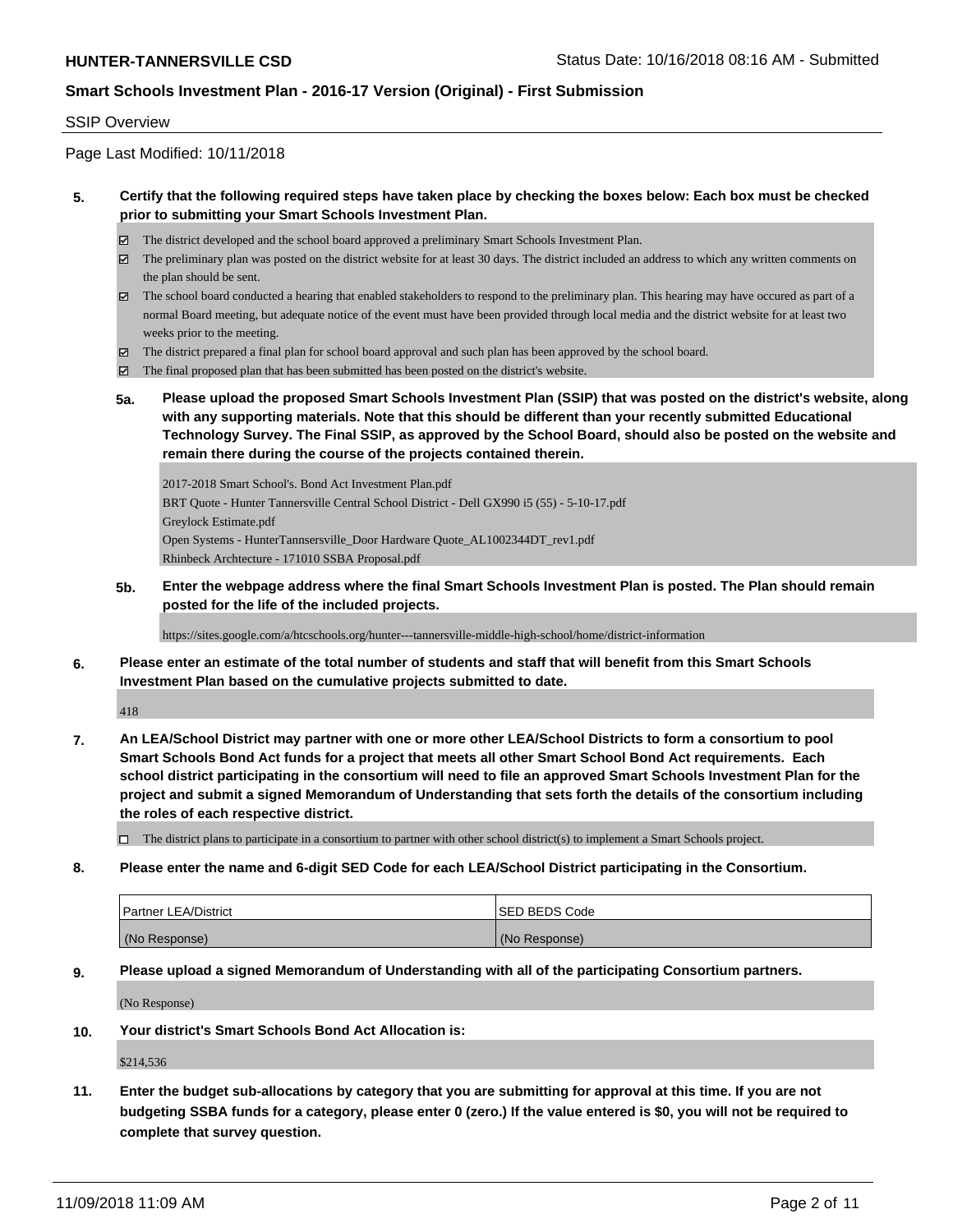#### SSIP Overview

Page Last Modified: 10/11/2018

### **5. Certify that the following required steps have taken place by checking the boxes below: Each box must be checked prior to submitting your Smart Schools Investment Plan.**

- The district developed and the school board approved a preliminary Smart Schools Investment Plan.
- The preliminary plan was posted on the district website for at least 30 days. The district included an address to which any written comments on the plan should be sent.
- $\boxtimes$  The school board conducted a hearing that enabled stakeholders to respond to the preliminary plan. This hearing may have occured as part of a normal Board meeting, but adequate notice of the event must have been provided through local media and the district website for at least two weeks prior to the meeting.
- The district prepared a final plan for school board approval and such plan has been approved by the school board.
- $\boxtimes$  The final proposed plan that has been submitted has been posted on the district's website.
- **5a. Please upload the proposed Smart Schools Investment Plan (SSIP) that was posted on the district's website, along with any supporting materials. Note that this should be different than your recently submitted Educational Technology Survey. The Final SSIP, as approved by the School Board, should also be posted on the website and remain there during the course of the projects contained therein.**

2017-2018 Smart School's. Bond Act Investment Plan.pdf BRT Quote - Hunter Tannersville Central School District - Dell GX990 i5 (55) - 5-10-17.pdf Greylock Estimate.pdf Open Systems - HunterTannsersville\_Door Hardware Quote\_AL1002344DT\_rev1.pdf Rhinbeck Archtecture - 171010 SSBA Proposal.pdf

**5b. Enter the webpage address where the final Smart Schools Investment Plan is posted. The Plan should remain posted for the life of the included projects.**

https://sites.google.com/a/htcschools.org/hunter---tannersville-middle-high-school/home/district-information

**6. Please enter an estimate of the total number of students and staff that will benefit from this Smart Schools Investment Plan based on the cumulative projects submitted to date.**

418

- **7. An LEA/School District may partner with one or more other LEA/School Districts to form a consortium to pool Smart Schools Bond Act funds for a project that meets all other Smart School Bond Act requirements. Each school district participating in the consortium will need to file an approved Smart Schools Investment Plan for the project and submit a signed Memorandum of Understanding that sets forth the details of the consortium including the roles of each respective district.**
	- $\Box$  The district plans to participate in a consortium to partner with other school district(s) to implement a Smart Schools project.
- **8. Please enter the name and 6-digit SED Code for each LEA/School District participating in the Consortium.**

| <b>Partner LEA/District</b> | <b>ISED BEDS Code</b> |
|-----------------------------|-----------------------|
| (No Response)               | (No Response)         |

#### **9. Please upload a signed Memorandum of Understanding with all of the participating Consortium partners.**

(No Response)

**10. Your district's Smart Schools Bond Act Allocation is:**

\$214,536

**11. Enter the budget sub-allocations by category that you are submitting for approval at this time. If you are not budgeting SSBA funds for a category, please enter 0 (zero.) If the value entered is \$0, you will not be required to complete that survey question.**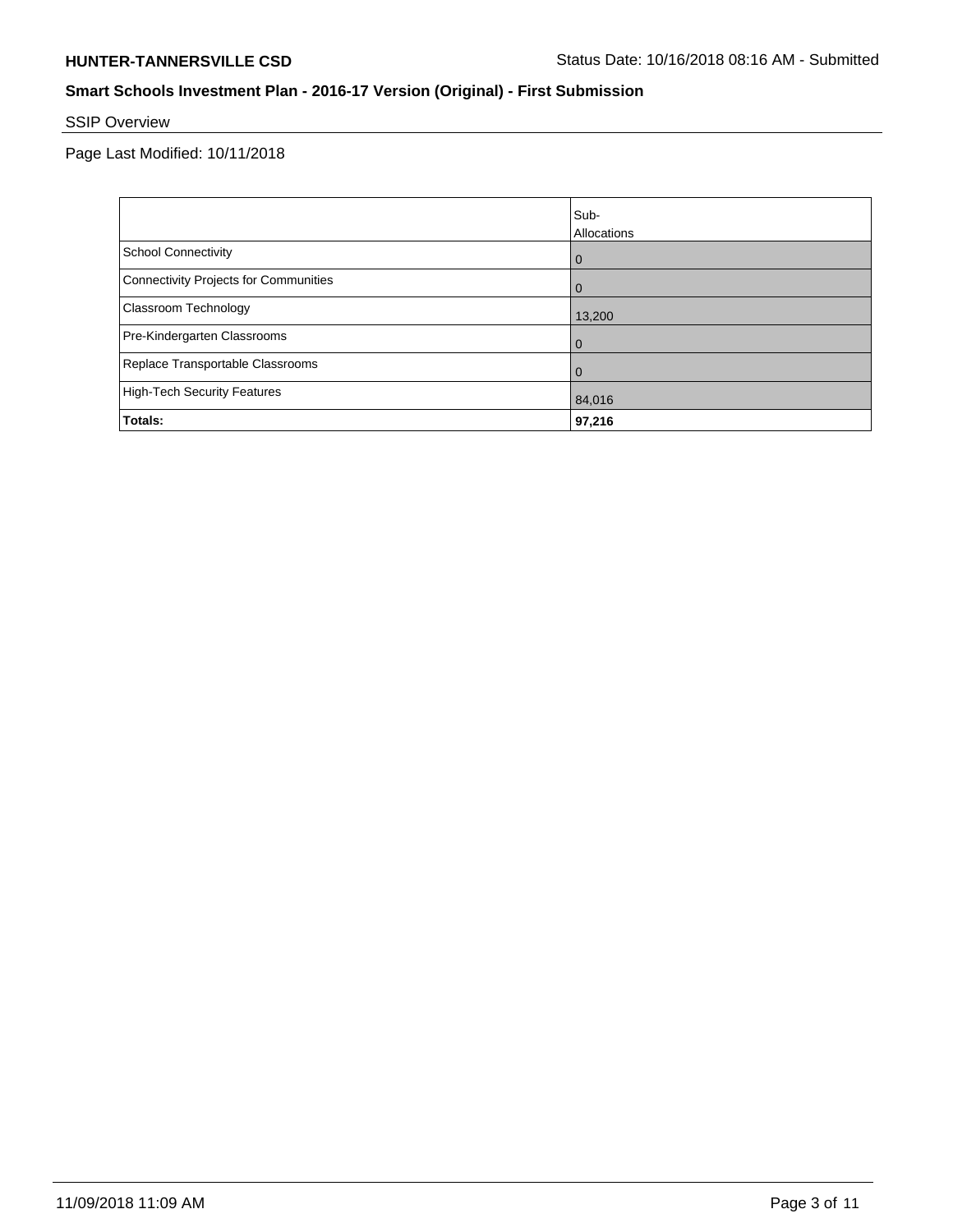# SSIP Overview

Page Last Modified: 10/11/2018

|                                       | Sub-<br>Allocations |
|---------------------------------------|---------------------|
| <b>School Connectivity</b>            | $\overline{0}$      |
| Connectivity Projects for Communities | $\overline{0}$      |
| <b>Classroom Technology</b>           | 13,200              |
| Pre-Kindergarten Classrooms           | $\overline{0}$      |
| Replace Transportable Classrooms      | $\Omega$            |
| High-Tech Security Features           | 84,016              |
| Totals:                               | 97,216              |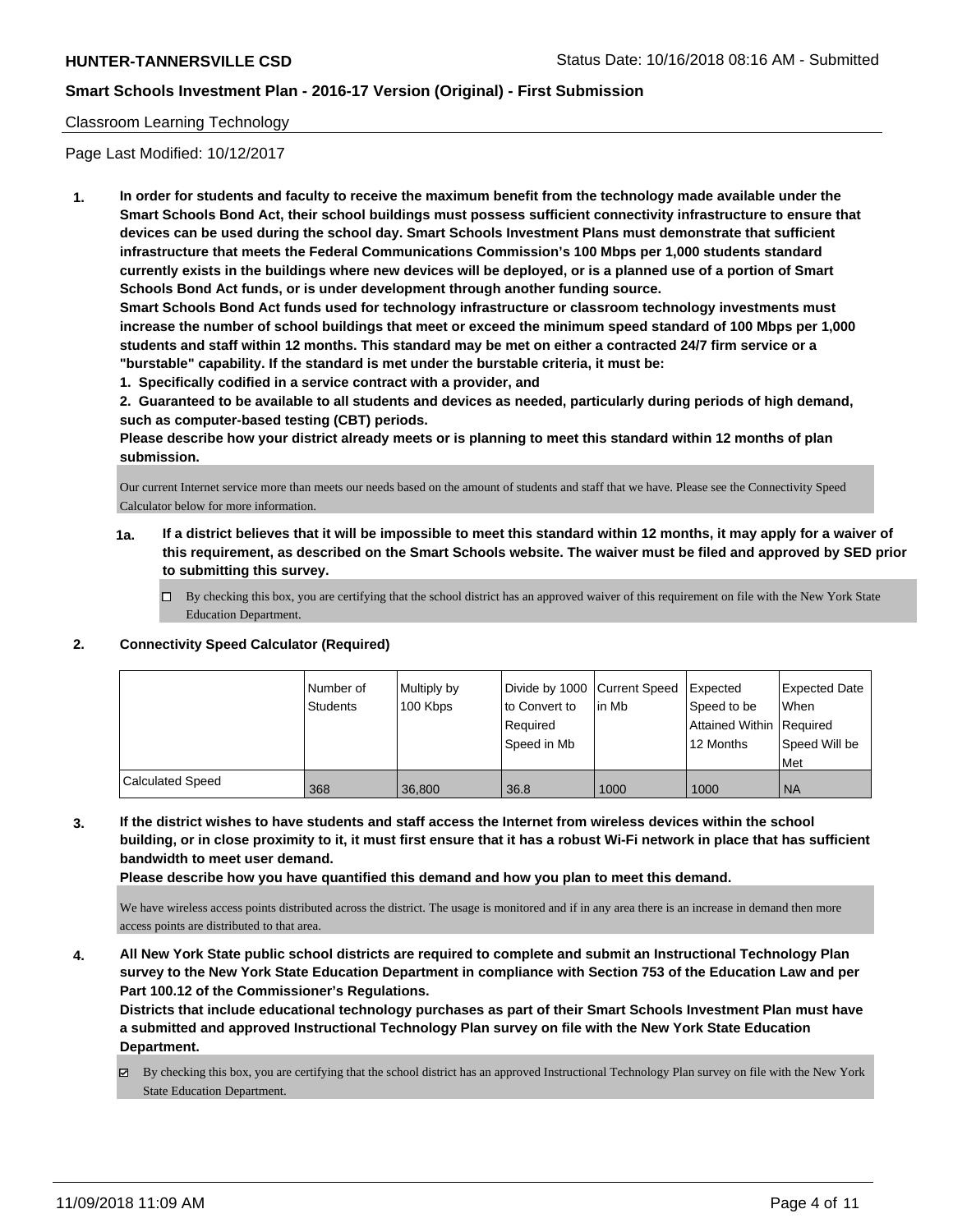#### Classroom Learning Technology

Page Last Modified: 10/12/2017

**1. In order for students and faculty to receive the maximum benefit from the technology made available under the Smart Schools Bond Act, their school buildings must possess sufficient connectivity infrastructure to ensure that devices can be used during the school day. Smart Schools Investment Plans must demonstrate that sufficient infrastructure that meets the Federal Communications Commission's 100 Mbps per 1,000 students standard currently exists in the buildings where new devices will be deployed, or is a planned use of a portion of Smart Schools Bond Act funds, or is under development through another funding source.**

**Smart Schools Bond Act funds used for technology infrastructure or classroom technology investments must increase the number of school buildings that meet or exceed the minimum speed standard of 100 Mbps per 1,000 students and staff within 12 months. This standard may be met on either a contracted 24/7 firm service or a "burstable" capability. If the standard is met under the burstable criteria, it must be:**

**1. Specifically codified in a service contract with a provider, and**

**2. Guaranteed to be available to all students and devices as needed, particularly during periods of high demand, such as computer-based testing (CBT) periods.**

**Please describe how your district already meets or is planning to meet this standard within 12 months of plan submission.**

Our current Internet service more than meets our needs based on the amount of students and staff that we have. Please see the Connectivity Speed Calculator below for more information.

- **1a. If a district believes that it will be impossible to meet this standard within 12 months, it may apply for a waiver of this requirement, as described on the Smart Schools website. The waiver must be filed and approved by SED prior to submitting this survey.**
	- By checking this box, you are certifying that the school district has an approved waiver of this requirement on file with the New York State Education Department.

#### **2. Connectivity Speed Calculator (Required)**

|                         | Number of<br>Students | Multiply by<br>100 Kbps | to Convert to<br>Reauired<br>Speed in Mb | Divide by 1000 Current Speed<br>lin Mb | <b>I</b> Expected<br>Speed to be<br>Attained Within Required<br>12 Months | Expected Date<br>When<br>Speed Will be<br>Met |
|-------------------------|-----------------------|-------------------------|------------------------------------------|----------------------------------------|---------------------------------------------------------------------------|-----------------------------------------------|
| <b>Calculated Speed</b> | 368                   | 36,800                  | 36.8                                     | 1000                                   | 1000                                                                      | <b>NA</b>                                     |

**3. If the district wishes to have students and staff access the Internet from wireless devices within the school building, or in close proximity to it, it must first ensure that it has a robust Wi-Fi network in place that has sufficient bandwidth to meet user demand.**

**Please describe how you have quantified this demand and how you plan to meet this demand.**

We have wireless access points distributed across the district. The usage is monitored and if in any area there is an increase in demand then more access points are distributed to that area.

**4. All New York State public school districts are required to complete and submit an Instructional Technology Plan survey to the New York State Education Department in compliance with Section 753 of the Education Law and per Part 100.12 of the Commissioner's Regulations.**

**Districts that include educational technology purchases as part of their Smart Schools Investment Plan must have a submitted and approved Instructional Technology Plan survey on file with the New York State Education Department.**

By checking this box, you are certifying that the school district has an approved Instructional Technology Plan survey on file with the New York State Education Department.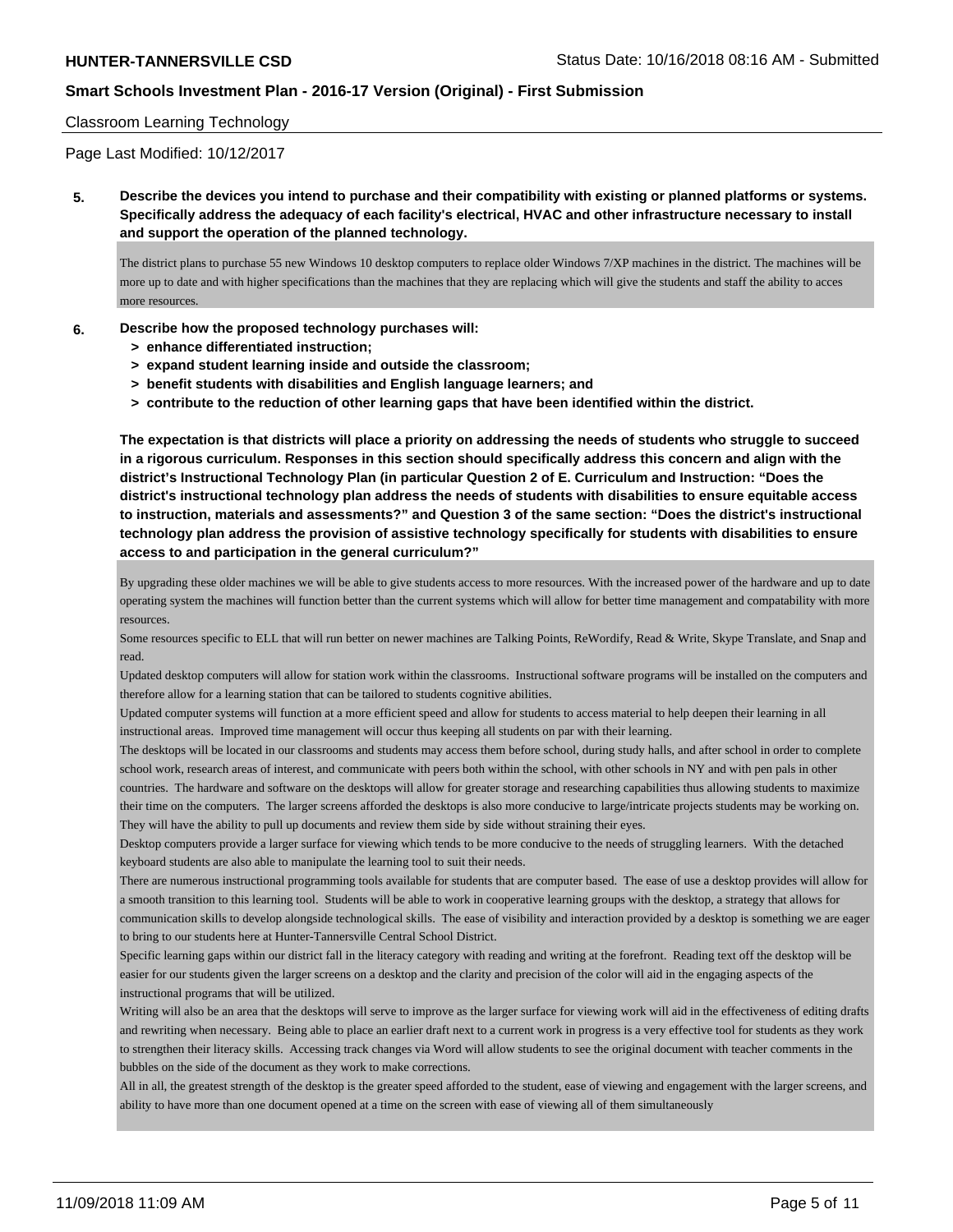#### Classroom Learning Technology

Page Last Modified: 10/12/2017

**5. Describe the devices you intend to purchase and their compatibility with existing or planned platforms or systems. Specifically address the adequacy of each facility's electrical, HVAC and other infrastructure necessary to install and support the operation of the planned technology.**

The district plans to purchase 55 new Windows 10 desktop computers to replace older Windows 7/XP machines in the district. The machines will be more up to date and with higher specifications than the machines that they are replacing which will give the students and staff the ability to acces more resources.

#### **6. Describe how the proposed technology purchases will:**

- **> enhance differentiated instruction;**
- **> expand student learning inside and outside the classroom;**
- **> benefit students with disabilities and English language learners; and**
- **> contribute to the reduction of other learning gaps that have been identified within the district.**

**The expectation is that districts will place a priority on addressing the needs of students who struggle to succeed in a rigorous curriculum. Responses in this section should specifically address this concern and align with the district's Instructional Technology Plan (in particular Question 2 of E. Curriculum and Instruction: "Does the district's instructional technology plan address the needs of students with disabilities to ensure equitable access to instruction, materials and assessments?" and Question 3 of the same section: "Does the district's instructional technology plan address the provision of assistive technology specifically for students with disabilities to ensure access to and participation in the general curriculum?"**

By upgrading these older machines we will be able to give students access to more resources. With the increased power of the hardware and up to date operating system the machines will function better than the current systems which will allow for better time management and compatability with more resources.

Some resources specific to ELL that will run better on newer machines are Talking Points, ReWordify, Read & Write, Skype Translate, and Snap and read.

Updated desktop computers will allow for station work within the classrooms. Instructional software programs will be installed on the computers and therefore allow for a learning station that can be tailored to students cognitive abilities.

Updated computer systems will function at a more efficient speed and allow for students to access material to help deepen their learning in all instructional areas. Improved time management will occur thus keeping all students on par with their learning.

The desktops will be located in our classrooms and students may access them before school, during study halls, and after school in order to complete school work, research areas of interest, and communicate with peers both within the school, with other schools in NY and with pen pals in other countries. The hardware and software on the desktops will allow for greater storage and researching capabilities thus allowing students to maximize their time on the computers. The larger screens afforded the desktops is also more conducive to large/intricate projects students may be working on. They will have the ability to pull up documents and review them side by side without straining their eyes.

Desktop computers provide a larger surface for viewing which tends to be more conducive to the needs of struggling learners. With the detached keyboard students are also able to manipulate the learning tool to suit their needs.

There are numerous instructional programming tools available for students that are computer based. The ease of use a desktop provides will allow for a smooth transition to this learning tool. Students will be able to work in cooperative learning groups with the desktop, a strategy that allows for communication skills to develop alongside technological skills. The ease of visibility and interaction provided by a desktop is something we are eager to bring to our students here at Hunter-Tannersville Central School District.

Specific learning gaps within our district fall in the literacy category with reading and writing at the forefront. Reading text off the desktop will be easier for our students given the larger screens on a desktop and the clarity and precision of the color will aid in the engaging aspects of the instructional programs that will be utilized.

Writing will also be an area that the desktops will serve to improve as the larger surface for viewing work will aid in the effectiveness of editing drafts and rewriting when necessary. Being able to place an earlier draft next to a current work in progress is a very effective tool for students as they work to strengthen their literacy skills. Accessing track changes via Word will allow students to see the original document with teacher comments in the bubbles on the side of the document as they work to make corrections.

All in all, the greatest strength of the desktop is the greater speed afforded to the student, ease of viewing and engagement with the larger screens, and ability to have more than one document opened at a time on the screen with ease of viewing all of them simultaneously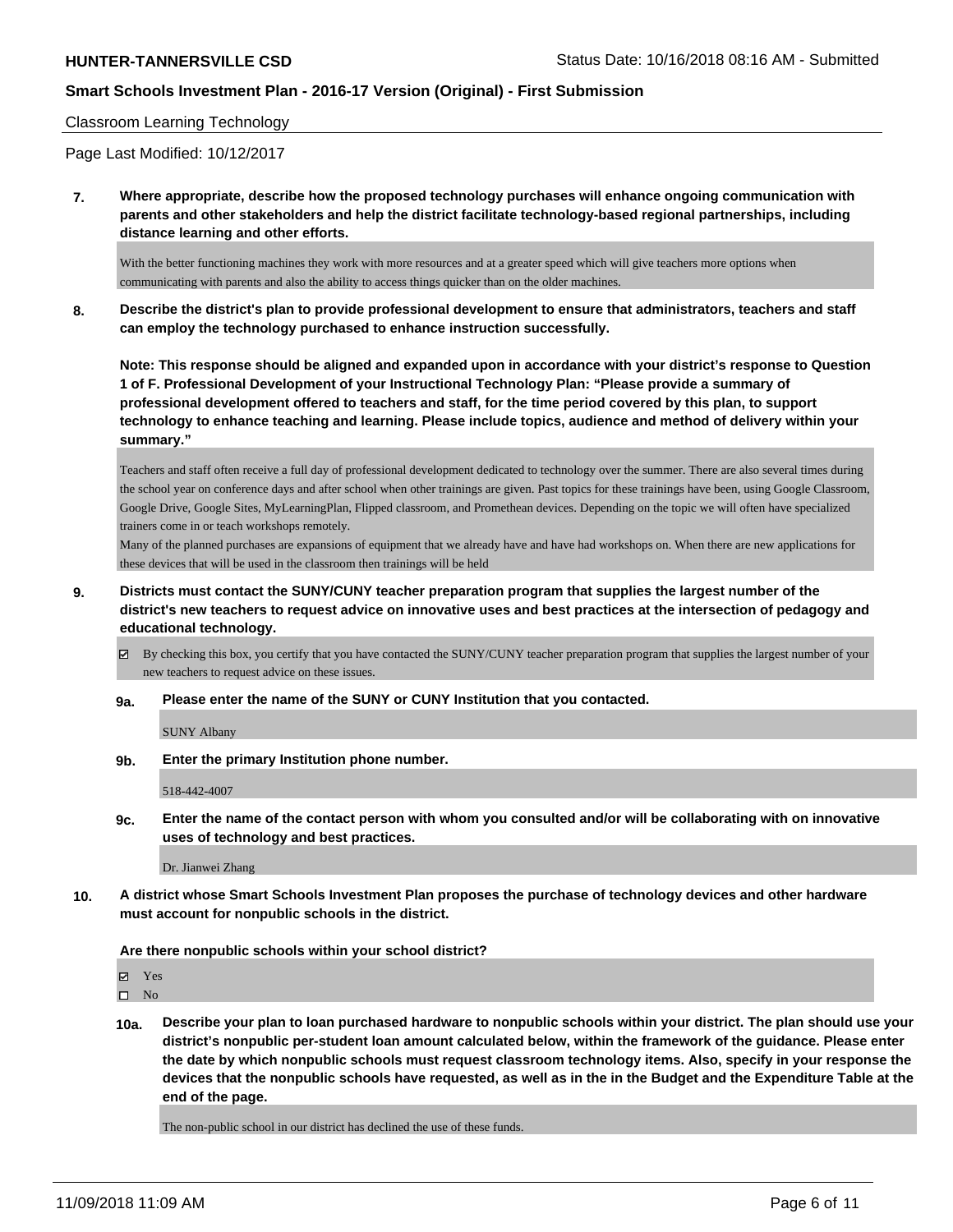#### Classroom Learning Technology

Page Last Modified: 10/12/2017

**7. Where appropriate, describe how the proposed technology purchases will enhance ongoing communication with parents and other stakeholders and help the district facilitate technology-based regional partnerships, including distance learning and other efforts.**

With the better functioning machines they work with more resources and at a greater speed which will give teachers more options when communicating with parents and also the ability to access things quicker than on the older machines.

**8. Describe the district's plan to provide professional development to ensure that administrators, teachers and staff can employ the technology purchased to enhance instruction successfully.**

**Note: This response should be aligned and expanded upon in accordance with your district's response to Question 1 of F. Professional Development of your Instructional Technology Plan: "Please provide a summary of professional development offered to teachers and staff, for the time period covered by this plan, to support technology to enhance teaching and learning. Please include topics, audience and method of delivery within your summary."**

Teachers and staff often receive a full day of professional development dedicated to technology over the summer. There are also several times during the school year on conference days and after school when other trainings are given. Past topics for these trainings have been, using Google Classroom, Google Drive, Google Sites, MyLearningPlan, Flipped classroom, and Promethean devices. Depending on the topic we will often have specialized trainers come in or teach workshops remotely.

Many of the planned purchases are expansions of equipment that we already have and have had workshops on. When there are new applications for these devices that will be used in the classroom then trainings will be held

- **9. Districts must contact the SUNY/CUNY teacher preparation program that supplies the largest number of the district's new teachers to request advice on innovative uses and best practices at the intersection of pedagogy and educational technology.**
	- By checking this box, you certify that you have contacted the SUNY/CUNY teacher preparation program that supplies the largest number of your new teachers to request advice on these issues.
	- **9a. Please enter the name of the SUNY or CUNY Institution that you contacted.**

SUNY Albany

**9b. Enter the primary Institution phone number.**

518-442-4007

**9c. Enter the name of the contact person with whom you consulted and/or will be collaborating with on innovative uses of technology and best practices.**

Dr. Jianwei Zhang

**10. A district whose Smart Schools Investment Plan proposes the purchase of technology devices and other hardware must account for nonpublic schools in the district.**

#### **Are there nonpublic schools within your school district?**

Yes

 $\hfill \square$  No

**10a. Describe your plan to loan purchased hardware to nonpublic schools within your district. The plan should use your district's nonpublic per-student loan amount calculated below, within the framework of the guidance. Please enter the date by which nonpublic schools must request classroom technology items. Also, specify in your response the devices that the nonpublic schools have requested, as well as in the in the Budget and the Expenditure Table at the end of the page.**

The non-public school in our district has declined the use of these funds.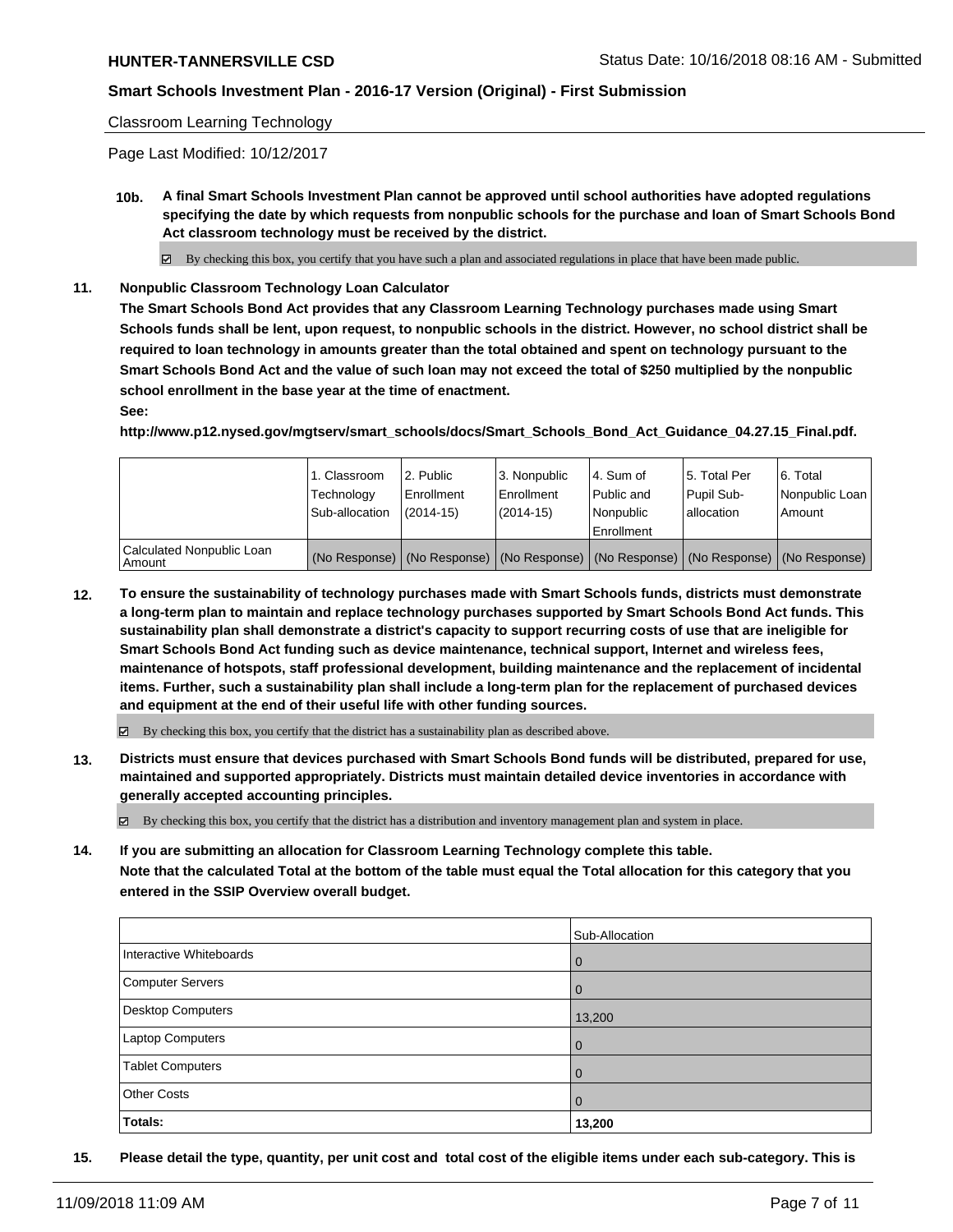#### Classroom Learning Technology

Page Last Modified: 10/12/2017

**10b. A final Smart Schools Investment Plan cannot be approved until school authorities have adopted regulations specifying the date by which requests from nonpublic schools for the purchase and loan of Smart Schools Bond Act classroom technology must be received by the district.**

 $\boxtimes$  By checking this box, you certify that you have such a plan and associated regulations in place that have been made public.

**11. Nonpublic Classroom Technology Loan Calculator**

**The Smart Schools Bond Act provides that any Classroom Learning Technology purchases made using Smart Schools funds shall be lent, upon request, to nonpublic schools in the district. However, no school district shall be required to loan technology in amounts greater than the total obtained and spent on technology pursuant to the Smart Schools Bond Act and the value of such loan may not exceed the total of \$250 multiplied by the nonpublic school enrollment in the base year at the time of enactment.**

**See:**

**http://www.p12.nysed.gov/mgtserv/smart\_schools/docs/Smart\_Schools\_Bond\_Act\_Guidance\_04.27.15\_Final.pdf.**

|                                       | 1. Classroom<br>Technology<br>Sub-allocation | 12. Public<br>l Enrollment<br>$(2014-15)$ | 3. Nonpublic<br>l Enrollment<br>(2014-15)                                                     | l 4. Sum of<br>Public and<br>l Nonpublic<br>Enrollment | 15. Total Per<br>Pupil Sub-<br>l allocation | 6. Total<br>Nonpublic Loan<br>Amount |
|---------------------------------------|----------------------------------------------|-------------------------------------------|-----------------------------------------------------------------------------------------------|--------------------------------------------------------|---------------------------------------------|--------------------------------------|
| Calculated Nonpublic Loan<br>  Amount |                                              |                                           | (No Response)   (No Response)   (No Response)   (No Response)   (No Response)   (No Response) |                                                        |                                             |                                      |

**12. To ensure the sustainability of technology purchases made with Smart Schools funds, districts must demonstrate a long-term plan to maintain and replace technology purchases supported by Smart Schools Bond Act funds. This sustainability plan shall demonstrate a district's capacity to support recurring costs of use that are ineligible for Smart Schools Bond Act funding such as device maintenance, technical support, Internet and wireless fees, maintenance of hotspots, staff professional development, building maintenance and the replacement of incidental items. Further, such a sustainability plan shall include a long-term plan for the replacement of purchased devices and equipment at the end of their useful life with other funding sources.**

 $\boxtimes$  By checking this box, you certify that the district has a sustainability plan as described above.

**13. Districts must ensure that devices purchased with Smart Schools Bond funds will be distributed, prepared for use, maintained and supported appropriately. Districts must maintain detailed device inventories in accordance with generally accepted accounting principles.**

By checking this box, you certify that the district has a distribution and inventory management plan and system in place.

**14. If you are submitting an allocation for Classroom Learning Technology complete this table. Note that the calculated Total at the bottom of the table must equal the Total allocation for this category that you**

**entered in the SSIP Overview overall budget.**

|                         | Sub-Allocation |
|-------------------------|----------------|
| Interactive Whiteboards | $\overline{0}$ |
| Computer Servers        | $\overline{0}$ |
| Desktop Computers       | 13,200         |
| Laptop Computers        | $\overline{0}$ |
| <b>Tablet Computers</b> | $\overline{0}$ |
| <b>Other Costs</b>      | $\overline{0}$ |
| Totals:                 | 13,200         |

**15. Please detail the type, quantity, per unit cost and total cost of the eligible items under each sub-category. This is**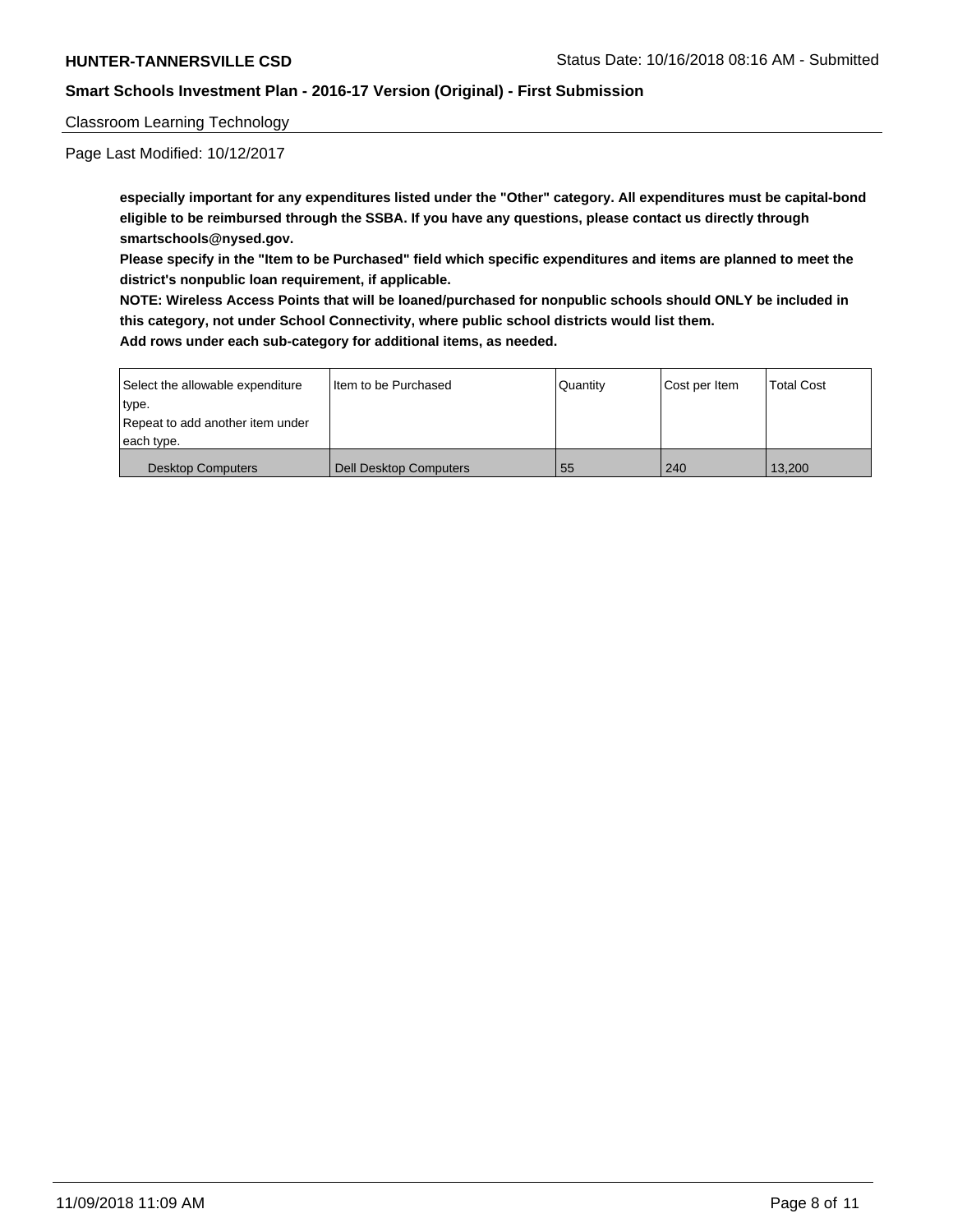### Classroom Learning Technology

Page Last Modified: 10/12/2017

**especially important for any expenditures listed under the "Other" category. All expenditures must be capital-bond eligible to be reimbursed through the SSBA. If you have any questions, please contact us directly through smartschools@nysed.gov.**

**Please specify in the "Item to be Purchased" field which specific expenditures and items are planned to meet the district's nonpublic loan requirement, if applicable.**

**NOTE: Wireless Access Points that will be loaned/purchased for nonpublic schools should ONLY be included in this category, not under School Connectivity, where public school districts would list them.**

**Add rows under each sub-category for additional items, as needed.**

| Select the allowable expenditure | I Item to be Purchased        | l Quantitv | Cost per Item | <b>Total Cost</b> |
|----------------------------------|-------------------------------|------------|---------------|-------------------|
| type.                            |                               |            |               |                   |
| Repeat to add another item under |                               |            |               |                   |
| each type.                       |                               |            |               |                   |
| <b>Desktop Computers</b>         | <b>Dell Desktop Computers</b> | 55         | 240           | 13.200            |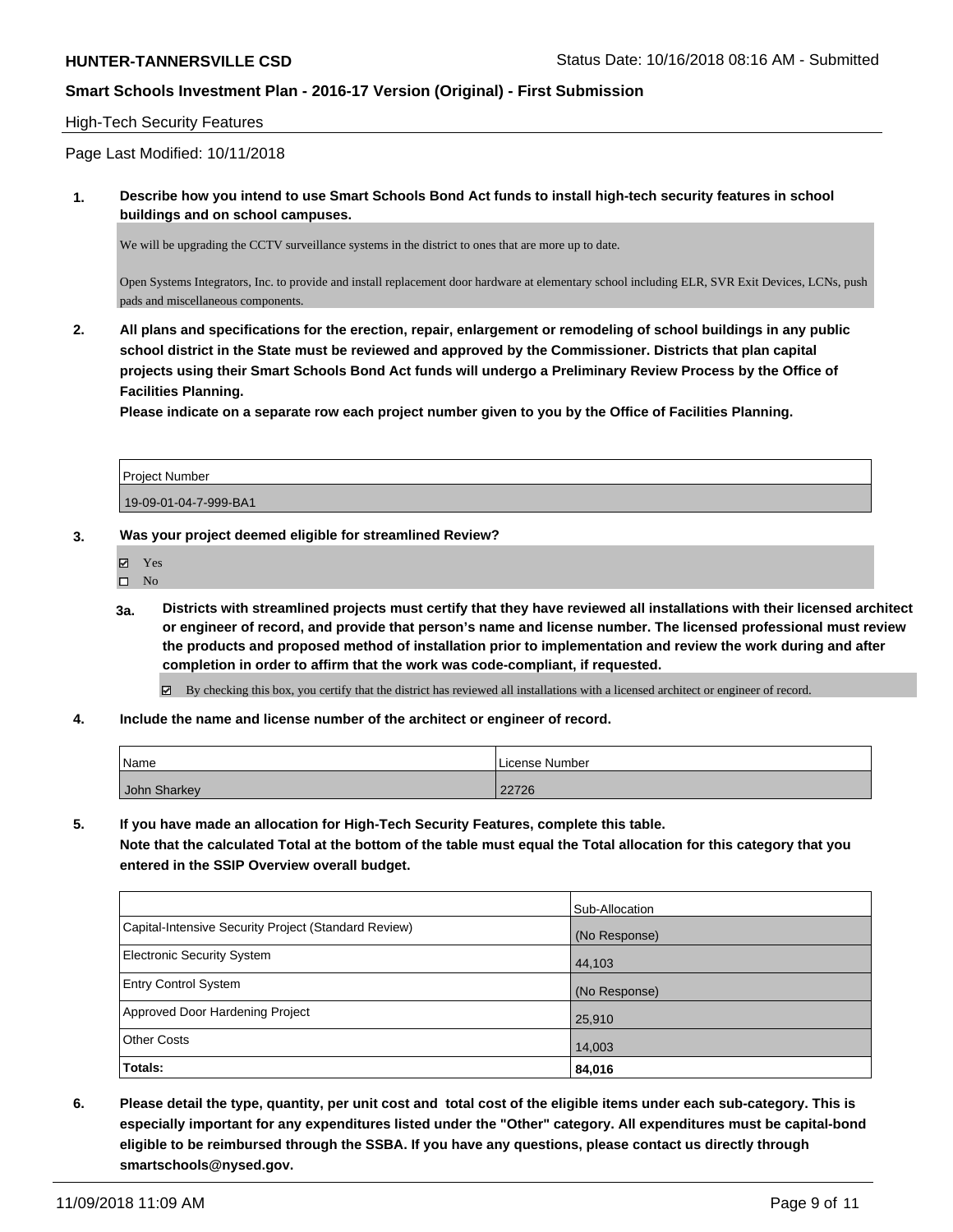### High-Tech Security Features

Page Last Modified: 10/11/2018

**1. Describe how you intend to use Smart Schools Bond Act funds to install high-tech security features in school buildings and on school campuses.**

We will be upgrading the CCTV surveillance systems in the district to ones that are more up to date.

Open Systems Integrators, Inc. to provide and install replacement door hardware at elementary school including ELR, SVR Exit Devices, LCNs, push pads and miscellaneous components.

**2. All plans and specifications for the erection, repair, enlargement or remodeling of school buildings in any public school district in the State must be reviewed and approved by the Commissioner. Districts that plan capital projects using their Smart Schools Bond Act funds will undergo a Preliminary Review Process by the Office of Facilities Planning.** 

**Please indicate on a separate row each project number given to you by the Office of Facilities Planning.**

| l Proiect Number      |  |
|-----------------------|--|
| 19-09-01-04-7-999-BA1 |  |

- **3. Was your project deemed eligible for streamlined Review?**
	- Yes
	- $\square$  No
	- **3a. Districts with streamlined projects must certify that they have reviewed all installations with their licensed architect or engineer of record, and provide that person's name and license number. The licensed professional must review the products and proposed method of installation prior to implementation and review the work during and after completion in order to affirm that the work was code-compliant, if requested.**

By checking this box, you certify that the district has reviewed all installations with a licensed architect or engineer of record.

**4. Include the name and license number of the architect or engineer of record.**

| Name         | License Number |
|--------------|----------------|
| John Sharkey | 22726          |

**5. If you have made an allocation for High-Tech Security Features, complete this table.**

**Note that the calculated Total at the bottom of the table must equal the Total allocation for this category that you entered in the SSIP Overview overall budget.**

| <b>Totals:</b>                                       | 84,016         |
|------------------------------------------------------|----------------|
| <b>Other Costs</b>                                   | 14,003         |
| Approved Door Hardening Project                      | 25,910         |
| <b>Entry Control System</b>                          | (No Response)  |
| <b>Electronic Security System</b>                    | 44,103         |
| Capital-Intensive Security Project (Standard Review) | (No Response)  |
|                                                      | Sub-Allocation |

**6. Please detail the type, quantity, per unit cost and total cost of the eligible items under each sub-category. This is especially important for any expenditures listed under the "Other" category. All expenditures must be capital-bond eligible to be reimbursed through the SSBA. If you have any questions, please contact us directly through smartschools@nysed.gov.**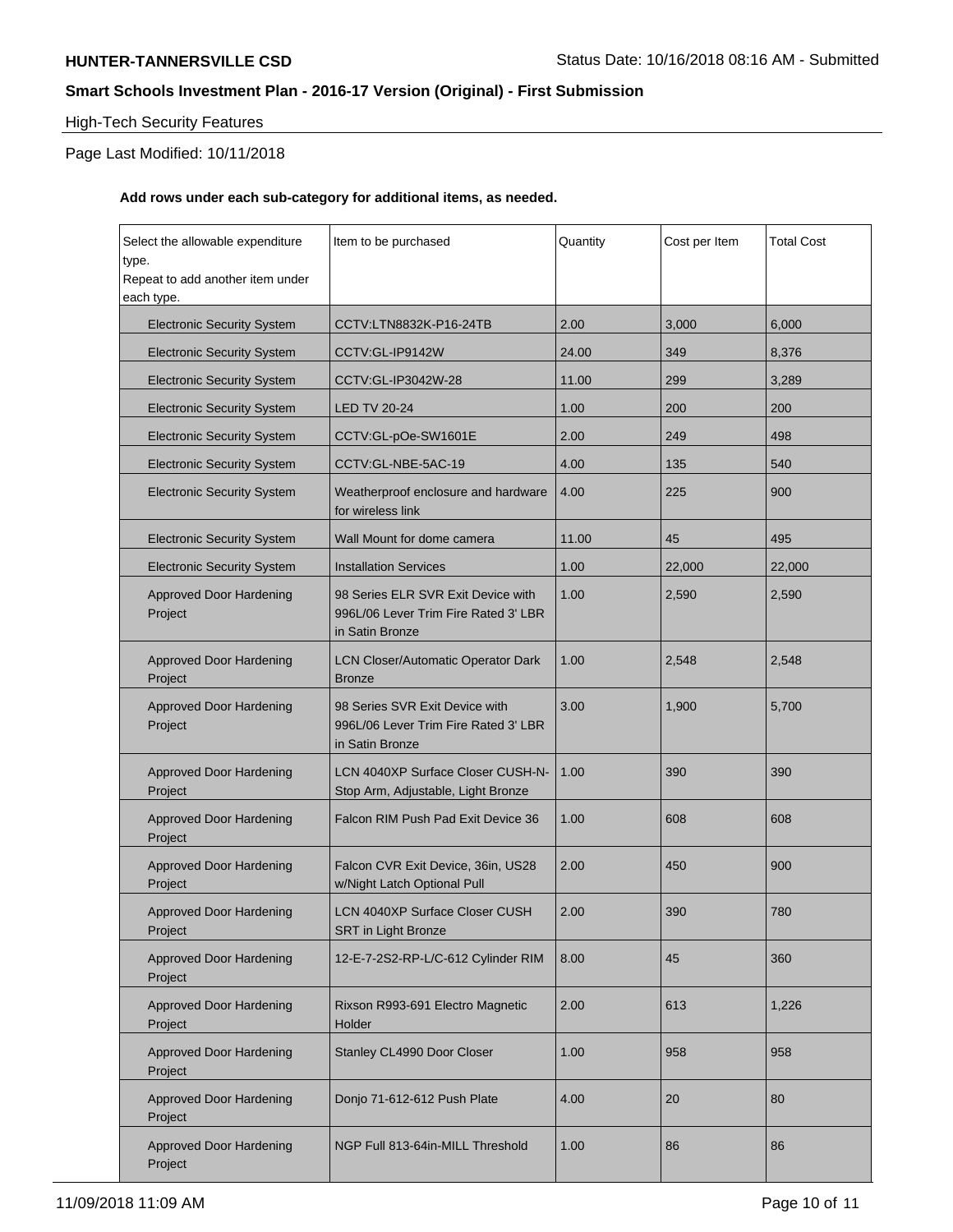## High-Tech Security Features

## Page Last Modified: 10/11/2018

## **Add rows under each sub-category for additional items, as needed.**

| Select the allowable expenditure<br>type.<br>Repeat to add another item under | Item to be purchased                                                                          | Quantity | Cost per Item | <b>Total Cost</b> |
|-------------------------------------------------------------------------------|-----------------------------------------------------------------------------------------------|----------|---------------|-------------------|
| each type.                                                                    |                                                                                               |          |               |                   |
| <b>Electronic Security System</b>                                             | CCTV:LTN8832K-P16-24TB                                                                        | 2.00     | 3.000         | 6,000             |
| <b>Electronic Security System</b>                                             | CCTV:GL-IP9142W                                                                               | 24.00    | 349           | 8,376             |
| <b>Electronic Security System</b>                                             | CCTV:GL-IP3042W-28                                                                            | 11.00    | 299           | 3,289             |
| <b>Electronic Security System</b>                                             | <b>LED TV 20-24</b>                                                                           | 1.00     | 200           | 200               |
| <b>Electronic Security System</b>                                             | CCTV:GL-pOe-SW1601E                                                                           | 2.00     | 249           | 498               |
| <b>Electronic Security System</b>                                             | CCTV:GL-NBE-5AC-19                                                                            | 4.00     | 135           | 540               |
| <b>Electronic Security System</b>                                             | Weatherproof enclosure and hardware<br>for wireless link                                      | 4.00     | 225           | 900               |
| <b>Electronic Security System</b>                                             | Wall Mount for dome camera                                                                    | 11.00    | 45            | 495               |
| <b>Electronic Security System</b>                                             | <b>Installation Services</b>                                                                  | 1.00     | 22,000        | 22,000            |
| Approved Door Hardening<br>Project                                            | 98 Series ELR SVR Exit Device with<br>996L/06 Lever Trim Fire Rated 3' LBR<br>in Satin Bronze | 1.00     | 2,590         | 2,590             |
| <b>Approved Door Hardening</b><br>Project                                     | <b>LCN Closer/Automatic Operator Dark</b><br><b>Bronze</b>                                    | 1.00     | 2,548         | 2,548             |
| <b>Approved Door Hardening</b><br>Project                                     | 98 Series SVR Exit Device with<br>996L/06 Lever Trim Fire Rated 3' LBR<br>in Satin Bronze     | 3.00     | 1,900         | 5,700             |
| <b>Approved Door Hardening</b><br>Project                                     | LCN 4040XP Surface Closer CUSH-N-<br>Stop Arm, Adjustable, Light Bronze                       | 1.00     | 390           | 390               |
| <b>Approved Door Hardening</b><br>Project                                     | Falcon RIM Push Pad Exit Device 36                                                            | 1.00     | 608           | 608               |
| <b>Approved Door Hardening</b><br>Project                                     | Falcon CVR Exit Device, 36in, US28<br>w/Night Latch Optional Pull                             | 2.00     | 450           | 900               |
| <b>Approved Door Hardening</b><br>Project                                     | <b>LCN 4040XP Surface Closer CUSH</b><br><b>SRT in Light Bronze</b>                           | 2.00     | 390           | 780               |
| <b>Approved Door Hardening</b><br>Project                                     | 12-E-7-2S2-RP-L/C-612 Cylinder RIM                                                            | 8.00     | 45            | 360               |
| <b>Approved Door Hardening</b><br>Project                                     | Rixson R993-691 Electro Magnetic<br>Holder                                                    | 2.00     | 613           | 1,226             |
| <b>Approved Door Hardening</b><br>Project                                     | Stanley CL4990 Door Closer                                                                    | 1.00     | 958           | 958               |
| <b>Approved Door Hardening</b><br>Project                                     | Donjo 71-612-612 Push Plate                                                                   | 4.00     | 20            | 80                |
| Approved Door Hardening<br>Project                                            | NGP Full 813-64in-MILL Threshold                                                              | 1.00     | 86            | 86                |